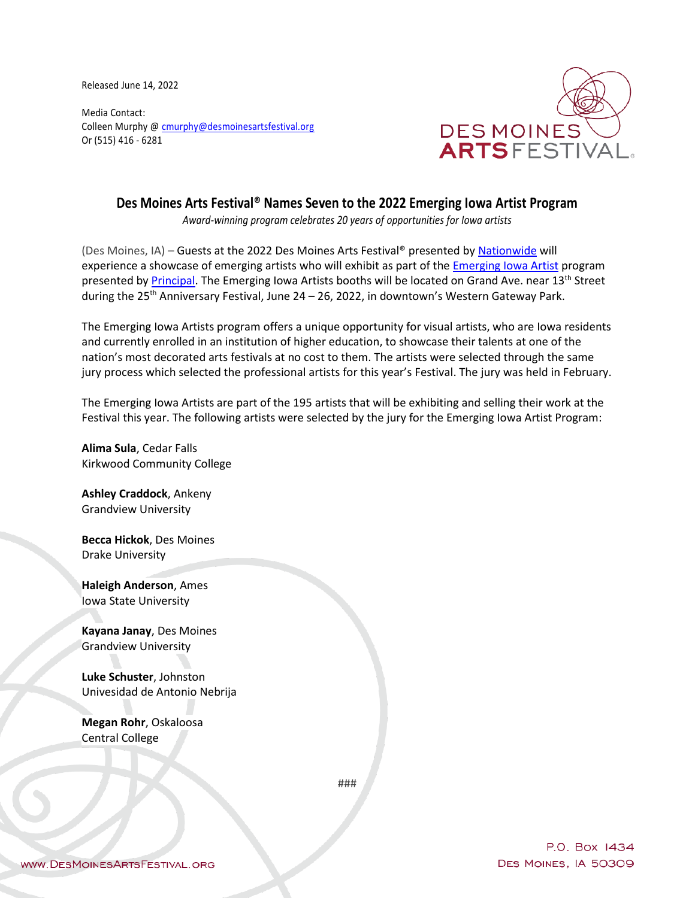Released June 14, 2022

Media Contact: Colleen Murphy [@ cmurphy@desmoinesartsfestival.org](mailto:cmurphy@desmoinesartsfestival.org) Or (515) 416 - 6281



## **Des Moines Arts Festival® Names Seven to the 2022 Emerging Iowa Artist Program**

*Award-winning program celebrates 20 years of opportunities for Iowa artists*

(Des Moines, IA) – Guests at the 2022 Des Moines Arts Festival® presented by [Nationwide](http://www.nationwide.com/) will experience a showcase of emerging artists who will exhibit as part of the [Emerging Iowa Artist](https://www.desmoinesartsfestival.org/p/about/visual-arts/emerging-iowa-artists) program presented by [Principal.](http://www.principal.com/) The Emerging Iowa Artists booths will be located on Grand Ave. near 13<sup>th</sup> Street during the  $25<sup>th</sup>$  Anniversary Festival, June 24 – 26, 2022, in downtown's Western Gateway Park.

The Emerging Iowa Artists program offers a unique opportunity for visual artists, who are Iowa residents and currently enrolled in an institution of higher education, to showcase their talents at one of the nation's most decorated arts festivals at no cost to them. The artists were selected through the same jury process which selected the professional artists for this year's Festival. The jury was held in February.

The Emerging Iowa Artists are part of the 195 artists that will be exhibiting and selling their work at the Festival this year. The following artists were selected by the jury for the Emerging Iowa Artist Program:

**Alima Sula**, Cedar Falls Kirkwood Community College

**Ashley Craddock**, Ankeny Grandview University

**Becca Hickok**, Des Moines Drake University

**Haleigh Anderson**, Ames Iowa State University

**Kayana Janay**, Des Moines Grandview University

**Luke Schuster**, Johnston Univesidad de Antonio Nebrija

**Megan Rohr**, Oskaloosa Central College

###